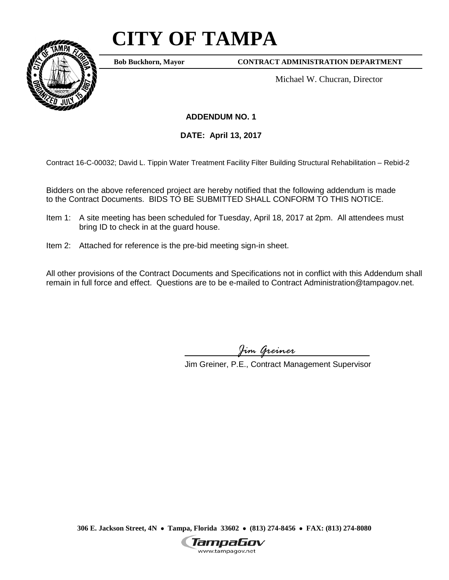## **CITY OF TAMPA**



**Bob Buckhorn, Mayor**

**CONTRACT ADMINISTRATION DEPARTMENT**

Michael W. Chucran, Director

**ADDENDUM NO. 1**

**DATE: April 13, 2017**

Contract 16-C-00032; David L. Tippin Water Treatment Facility Filter Building Structural Rehabilitation – Rebid-2

Bidders on the above referenced project are hereby notified that the following addendum is made to the Contract Documents. BIDS TO BE SUBMITTED SHALL CONFORM TO THIS NOTICE.

- Item 1: A site meeting has been scheduled for Tuesday, April 18, 2017 at 2pm. All attendees must bring ID to check in at the guard house.
- Item 2: Attached for reference is the pre-bid meeting sign-in sheet.

All other provisions of the Contract Documents and Specifications not in conflict with this Addendum shall remain in full force and effect. Questions are to be e-mailed to Contract Administration@tampagov.net.

*Jim Greiner*

Jim Greiner, P.E., Contract Management Supervisor

**306 E. Jackson Street, 4N** • **Tampa, Florida 33602** • **(813) 274-8456** • **FAX: (813) 274-8080**